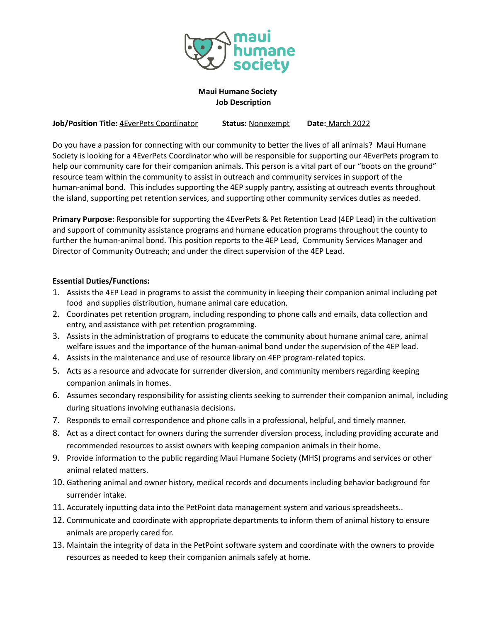

### **Maui Humane Society Job Description**

**Job/Position Title:** 4EverPets Coordinator **Status:** Nonexempt **Date:** March 2022

Do you have a passion for connecting with our community to better the lives of all animals? Maui Humane Society is looking for a 4EverPets Coordinator who will be responsible for supporting our 4EverPets program to help our community care for their companion animals. This person is a vital part of our "boots on the ground" resource team within the community to assist in outreach and community services in support of the human-animal bond. This includes supporting the 4EP supply pantry, assisting at outreach events throughout the island, supporting pet retention services, and supporting other community services duties as needed.

**Primary Purpose:** Responsible for supporting the 4EverPets & Pet Retention Lead (4EP Lead) in the cultivation and support of community assistance programs and humane education programs throughout the county to further the human-animal bond. This position reports to the 4EP Lead, Community Services Manager and Director of Community Outreach; and under the direct supervision of the 4EP Lead.

#### **Essential Duties/Functions:**

- 1. Assists the 4EP Lead in programs to assist the community in keeping their companion animal including pet food and supplies distribution, humane animal care education.
- 2. Coordinates pet retention program, including responding to phone calls and emails, data collection and entry, and assistance with pet retention programming.
- 3. Assists in the administration of programs to educate the community about humane animal care, animal welfare issues and the importance of the human-animal bond under the supervision of the 4EP lead.
- 4. Assists in the maintenance and use of resource library on 4EP program-related topics.
- 5. Acts as a resource and advocate for surrender diversion, and community members regarding keeping companion animals in homes.
- 6. Assumes secondary responsibility for assisting clients seeking to surrender their companion animal, including during situations involving euthanasia decisions.
- 7. Responds to email correspondence and phone calls in a professional, helpful, and timely manner.
- 8. Act as a direct contact for owners during the surrender diversion process, including providing accurate and recommended resources to assist owners with keeping companion animals in their home.
- 9. Provide information to the public regarding Maui Humane Society (MHS) programs and services or other animal related matters.
- 10. Gathering animal and owner history, medical records and documents including behavior background for surrender intake.
- 11. Accurately inputting data into the PetPoint data management system and various spreadsheets..
- 12. Communicate and coordinate with appropriate departments to inform them of animal history to ensure animals are properly cared for.
- 13. Maintain the integrity of data in the PetPoint software system and coordinate with the owners to provide resources as needed to keep their companion animals safely at home.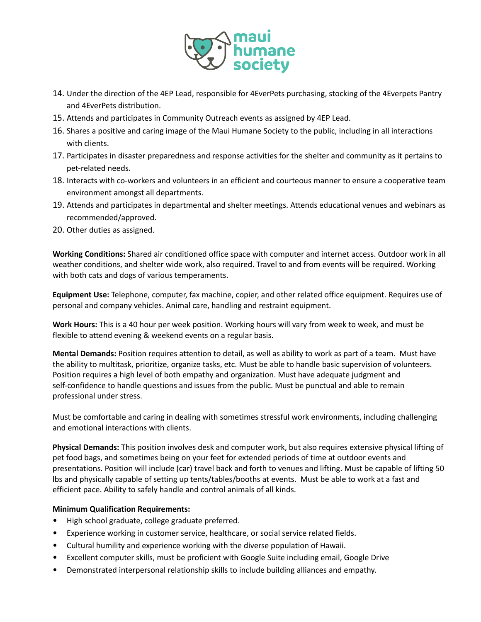

- 14. Under the direction of the 4EP Lead, responsible for 4EverPets purchasing, stocking of the 4Everpets Pantry and 4EverPets distribution.
- 15. Attends and participates in Community Outreach events as assigned by 4EP Lead.
- 16. Shares a positive and caring image of the Maui Humane Society to the public, including in all interactions with clients.
- 17. Participates in disaster preparedness and response activities for the shelter and community as it pertains to pet-related needs.
- 18. Interacts with co-workers and volunteers in an efficient and courteous manner to ensure a cooperative team environment amongst all departments.
- 19. Attends and participates in departmental and shelter meetings. Attends educational venues and webinars as recommended/approved.
- 20. Other duties as assigned.

**Working Conditions:** Shared air conditioned office space with computer and internet access. Outdoor work in all weather conditions, and shelter wide work, also required. Travel to and from events will be required. Working with both cats and dogs of various temperaments.

**Equipment Use:** Telephone, computer, fax machine, copier, and other related office equipment. Requires use of personal and company vehicles. Animal care, handling and restraint equipment.

**Work Hours:** This is a 40 hour per week position. Working hours will vary from week to week, and must be flexible to attend evening & weekend events on a regular basis.

**Mental Demands:** Position requires attention to detail, as well as ability to work as part of a team. Must have the ability to multitask, prioritize, organize tasks, etc. Must be able to handle basic supervision of volunteers. Position requires a high level of both empathy and organization. Must have adequate judgment and self-confidence to handle questions and issues from the public. Must be punctual and able to remain professional under stress.

Must be comfortable and caring in dealing with sometimes stressful work environments, including challenging and emotional interactions with clients.

**Physical Demands:** This position involves desk and computer work, but also requires extensive physical lifting of pet food bags, and sometimes being on your feet for extended periods of time at outdoor events and presentations. Position will include (car) travel back and forth to venues and lifting. Must be capable of lifting 50 lbs and physically capable of setting up tents/tables/booths at events. Must be able to work at a fast and efficient pace. Ability to safely handle and control animals of all kinds.

#### **Minimum Qualification Requirements:**

- High school graduate, college graduate preferred.
- Experience working in customer service, healthcare, or social service related fields.
- Cultural humility and experience working with the diverse population of Hawaii.
- Excellent computer skills, must be proficient with Google Suite including email, Google Drive
- Demonstrated interpersonal relationship skills to include building alliances and empathy.